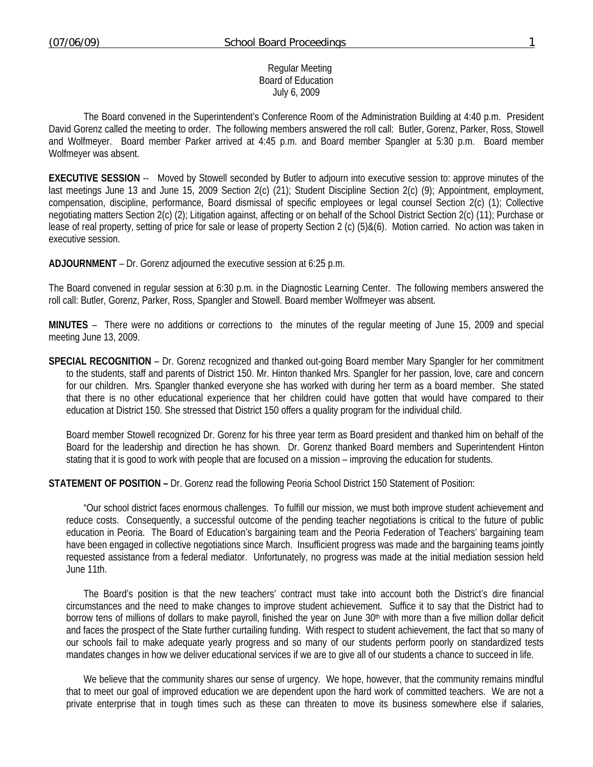#### Regular Meeting Board of Education July 6, 2009

 The Board convened in the Superintendent's Conference Room of the Administration Building at 4:40 p.m. President David Gorenz called the meeting to order. The following members answered the roll call: Butler, Gorenz, Parker, Ross, Stowell and Wolfmeyer. Board member Parker arrived at 4:45 p.m. and Board member Spangler at 5:30 p.m. Board member Wolfmeyer was absent.

**EXECUTIVE SESSION** -- Moved by Stowell seconded by Butler to adjourn into executive session to: approve minutes of the last meetings June 13 and June 15, 2009 Section 2(c) (21); Student Discipline Section 2(c) (9); Appointment, employment, compensation, discipline, performance, Board dismissal of specific employees or legal counsel Section 2(c) (1); Collective negotiating matters Section 2(c) (2); Litigation against, affecting or on behalf of the School District Section 2(c) (11); Purchase or lease of real property, setting of price for sale or lease of property Section 2 (c) (5)&(6). Motion carried. No action was taken in executive session.

**ADJOURNMENT** – Dr. Gorenz adjourned the executive session at 6:25 p.m.

The Board convened in regular session at 6:30 p.m. in the Diagnostic Learning Center. The following members answered the roll call: Butler, Gorenz, Parker, Ross, Spangler and Stowell. Board member Wolfmeyer was absent.

**MINUTES** – There were no additions or corrections to the minutes of the regular meeting of June 15, 2009 and special meeting June 13, 2009.

**SPECIAL RECOGNITION** – Dr. Gorenz recognized and thanked out-going Board member Mary Spangler for her commitment to the students, staff and parents of District 150. Mr. Hinton thanked Mrs. Spangler for her passion, love, care and concern for our children. Mrs. Spangler thanked everyone she has worked with during her term as a board member. She stated that there is no other educational experience that her children could have gotten that would have compared to their education at District 150. She stressed that District 150 offers a quality program for the individual child.

Board member Stowell recognized Dr. Gorenz for his three year term as Board president and thanked him on behalf of the Board for the leadership and direction he has shown. Dr. Gorenz thanked Board members and Superintendent Hinton stating that it is good to work with people that are focused on a mission – improving the education for students.

**STATEMENT OF POSITION –** Dr. Gorenz read the following Peoria School District 150 Statement of Position:

"Our school district faces enormous challenges. To fulfill our mission, we must both improve student achievement and reduce costs. Consequently, a successful outcome of the pending teacher negotiations is critical to the future of public education in Peoria. The Board of Education's bargaining team and the Peoria Federation of Teachers' bargaining team have been engaged in collective negotiations since March. Insufficient progress was made and the bargaining teams jointly requested assistance from a federal mediator. Unfortunately, no progress was made at the initial mediation session held June 11th.

The Board's position is that the new teachers' contract must take into account both the District's dire financial circumstances and the need to make changes to improve student achievement. Suffice it to say that the District had to borrow tens of millions of dollars to make payroll, finished the year on June 30<sup>th</sup> with more than a five million dollar deficit and faces the prospect of the State further curtailing funding. With respect to student achievement, the fact that so many of our schools fail to make adequate yearly progress and so many of our students perform poorly on standardized tests mandates changes in how we deliver educational services if we are to give all of our students a chance to succeed in life.

We believe that the community shares our sense of urgency. We hope, however, that the community remains mindful that to meet our goal of improved education we are dependent upon the hard work of committed teachers. We are not a private enterprise that in tough times such as these can threaten to move its business somewhere else if salaries,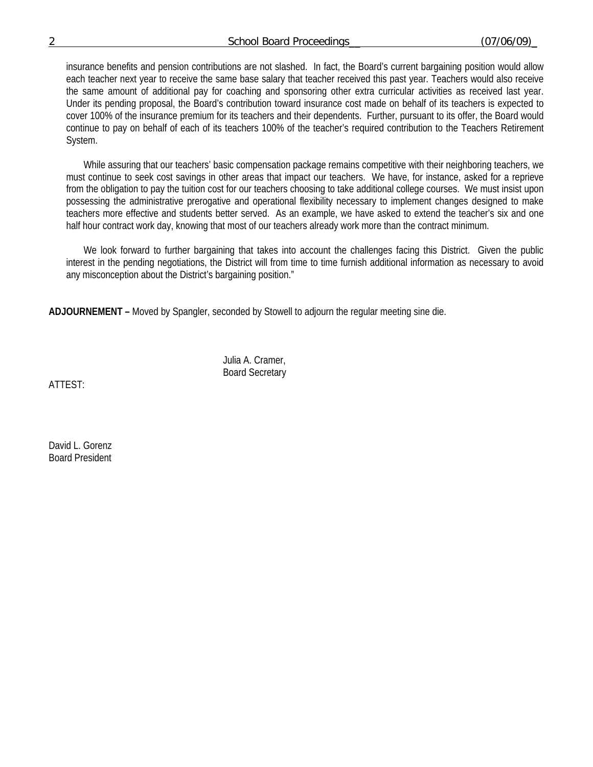### 2 School Board Proceedings\_\_ (07/06/09)\_

insurance benefits and pension contributions are not slashed. In fact, the Board's current bargaining position would allow each teacher next year to receive the same base salary that teacher received this past year. Teachers would also receive the same amount of additional pay for coaching and sponsoring other extra curricular activities as received last year. Under its pending proposal, the Board's contribution toward insurance cost made on behalf of its teachers is expected to cover 100% of the insurance premium for its teachers and their dependents. Further, pursuant to its offer, the Board would continue to pay on behalf of each of its teachers 100% of the teacher's required contribution to the Teachers Retirement System.

While assuring that our teachers' basic compensation package remains competitive with their neighboring teachers, we must continue to seek cost savings in other areas that impact our teachers. We have, for instance, asked for a reprieve from the obligation to pay the tuition cost for our teachers choosing to take additional college courses. We must insist upon possessing the administrative prerogative and operational flexibility necessary to implement changes designed to make teachers more effective and students better served. As an example, we have asked to extend the teacher's six and one half hour contract work day, knowing that most of our teachers already work more than the contract minimum.

We look forward to further bargaining that takes into account the challenges facing this District. Given the public interest in the pending negotiations, the District will from time to time furnish additional information as necessary to avoid any misconception about the District's bargaining position."

**ADJOURNEMENT –** Moved by Spangler, seconded by Stowell to adjourn the regular meeting sine die.

 Julia A. Cramer, Board Secretary

ATTEST:

David L. Gorenz Board President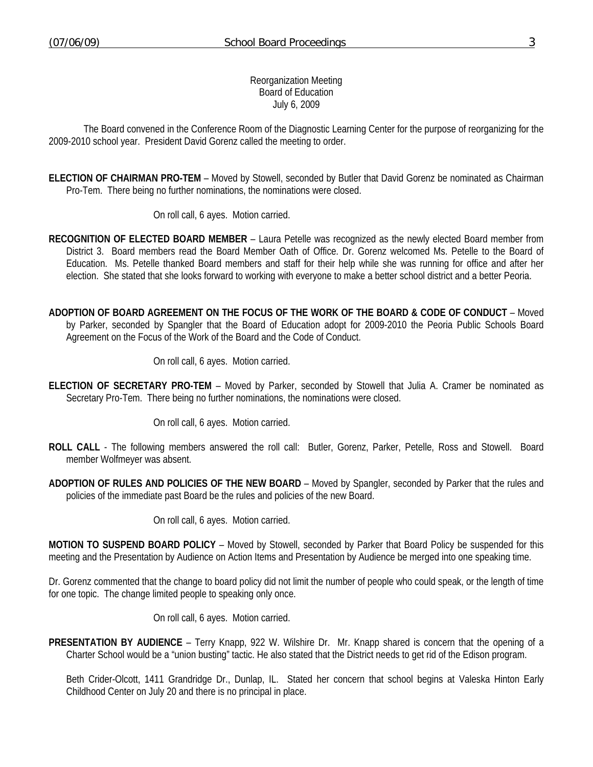Reorganization Meeting Board of Education July 6, 2009

 The Board convened in the Conference Room of the Diagnostic Learning Center for the purpose of reorganizing for the 2009-2010 school year. President David Gorenz called the meeting to order.

**ELECTION OF CHAIRMAN PRO-TEM** – Moved by Stowell, seconded by Butler that David Gorenz be nominated as Chairman Pro-Tem. There being no further nominations, the nominations were closed.

On roll call, 6 ayes. Motion carried.

- **RECOGNITION OF ELECTED BOARD MEMBER** Laura Petelle was recognized as the newly elected Board member from District 3. Board members read the Board Member Oath of Office. Dr. Gorenz welcomed Ms. Petelle to the Board of Education. Ms. Petelle thanked Board members and staff for their help while she was running for office and after her election. She stated that she looks forward to working with everyone to make a better school district and a better Peoria.
- **ADOPTION OF BOARD AGREEMENT ON THE FOCUS OF THE WORK OF THE BOARD & CODE OF CONDUCT** Moved by Parker, seconded by Spangler that the Board of Education adopt for 2009-2010 the Peoria Public Schools Board Agreement on the Focus of the Work of the Board and the Code of Conduct.

On roll call, 6 ayes. Motion carried.

**ELECTION OF SECRETARY PRO-TEM** – Moved by Parker, seconded by Stowell that Julia A. Cramer be nominated as Secretary Pro-Tem. There being no further nominations, the nominations were closed.

On roll call, 6 ayes. Motion carried.

- **ROLL CALL** The following members answered the roll call: Butler, Gorenz, Parker, Petelle, Ross and Stowell. Board member Wolfmeyer was absent.
- **ADOPTION OF RULES AND POLICIES OF THE NEW BOARD** Moved by Spangler, seconded by Parker that the rules and policies of the immediate past Board be the rules and policies of the new Board.

On roll call, 6 ayes. Motion carried.

**MOTION TO SUSPEND BOARD POLICY** – Moved by Stowell, seconded by Parker that Board Policy be suspended for this meeting and the Presentation by Audience on Action Items and Presentation by Audience be merged into one speaking time.

Dr. Gorenz commented that the change to board policy did not limit the number of people who could speak, or the length of time for one topic. The change limited people to speaking only once.

On roll call, 6 ayes. Motion carried.

**PRESENTATION BY AUDIENCE** – Terry Knapp, 922 W. Wilshire Dr. Mr. Knapp shared is concern that the opening of a Charter School would be a "union busting" tactic. He also stated that the District needs to get rid of the Edison program.

 Beth Crider-Olcott, 1411 Grandridge Dr., Dunlap, IL. Stated her concern that school begins at Valeska Hinton Early Childhood Center on July 20 and there is no principal in place.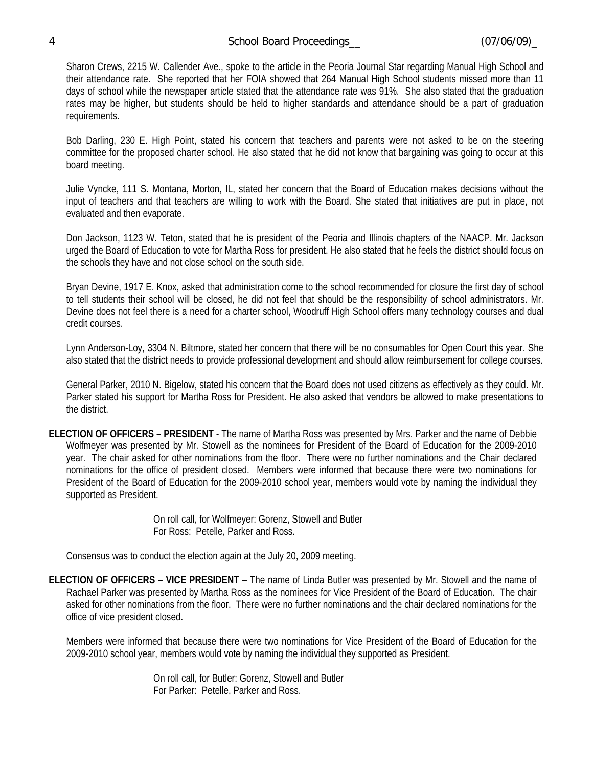| 4 | <b>Board Proceedings</b><br>School | (07/06/09) |
|---|------------------------------------|------------|
|   |                                    |            |

 Sharon Crews, 2215 W. Callender Ave., spoke to the article in the Peoria Journal Star regarding Manual High School and their attendance rate. She reported that her FOIA showed that 264 Manual High School students missed more than 11 days of school while the newspaper article stated that the attendance rate was 91%. She also stated that the graduation rates may be higher, but students should be held to higher standards and attendance should be a part of graduation requirements.

 Bob Darling, 230 E. High Point, stated his concern that teachers and parents were not asked to be on the steering committee for the proposed charter school. He also stated that he did not know that bargaining was going to occur at this board meeting.

 Julie Vyncke, 111 S. Montana, Morton, IL, stated her concern that the Board of Education makes decisions without the input of teachers and that teachers are willing to work with the Board. She stated that initiatives are put in place, not evaluated and then evaporate.

 Don Jackson, 1123 W. Teton, stated that he is president of the Peoria and Illinois chapters of the NAACP. Mr. Jackson urged the Board of Education to vote for Martha Ross for president. He also stated that he feels the district should focus on the schools they have and not close school on the south side.

 Bryan Devine, 1917 E. Knox, asked that administration come to the school recommended for closure the first day of school to tell students their school will be closed, he did not feel that should be the responsibility of school administrators. Mr. Devine does not feel there is a need for a charter school, Woodruff High School offers many technology courses and dual credit courses.

 Lynn Anderson-Loy, 3304 N. Biltmore, stated her concern that there will be no consumables for Open Court this year. She also stated that the district needs to provide professional development and should allow reimbursement for college courses.

 General Parker, 2010 N. Bigelow, stated his concern that the Board does not used citizens as effectively as they could. Mr. Parker stated his support for Martha Ross for President. He also asked that vendors be allowed to make presentations to the district.

**ELECTION OF OFFICERS – PRESIDENT** - The name of Martha Ross was presented by Mrs. Parker and the name of Debbie Wolfmeyer was presented by Mr. Stowell as the nominees for President of the Board of Education for the 2009-2010 year. The chair asked for other nominations from the floor. There were no further nominations and the Chair declared nominations for the office of president closed. Members were informed that because there were two nominations for President of the Board of Education for the 2009-2010 school year, members would vote by naming the individual they supported as President.

> On roll call, for Wolfmeyer: Gorenz, Stowell and Butler For Ross: Petelle, Parker and Ross.

Consensus was to conduct the election again at the July 20, 2009 meeting.

**ELECTION OF OFFICERS – VICE PRESIDENT** – The name of Linda Butler was presented by Mr. Stowell and the name of Rachael Parker was presented by Martha Ross as the nominees for Vice President of the Board of Education. The chair asked for other nominations from the floor. There were no further nominations and the chair declared nominations for the office of vice president closed.

Members were informed that because there were two nominations for Vice President of the Board of Education for the 2009-2010 school year, members would vote by naming the individual they supported as President.

> On roll call, for Butler: Gorenz, Stowell and Butler For Parker: Petelle, Parker and Ross.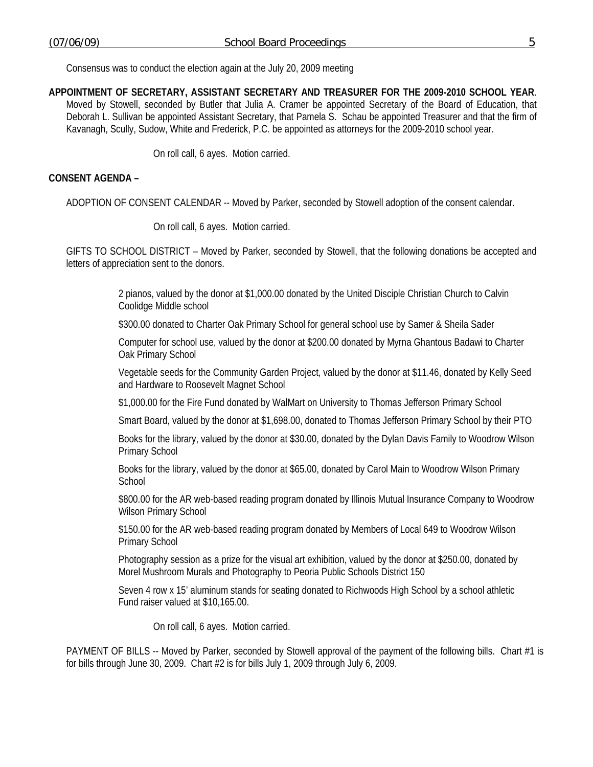Consensus was to conduct the election again at the July 20, 2009 meeting

**APPOINTMENT OF SECRETARY, ASSISTANT SECRETARY AND TREASURER FOR THE 2009-2010 SCHOOL YEAR**. Moved by Stowell, seconded by Butler that Julia A. Cramer be appointed Secretary of the Board of Education, that Deborah L. Sullivan be appointed Assistant Secretary, that Pamela S. Schau be appointed Treasurer and that the firm of Kavanagh, Scully, Sudow, White and Frederick, P.C. be appointed as attorneys for the 2009-2010 school year.

On roll call, 6 ayes. Motion carried.

### **CONSENT AGENDA –**

ADOPTION OF CONSENT CALENDAR -- Moved by Parker, seconded by Stowell adoption of the consent calendar.

On roll call, 6 ayes. Motion carried.

GIFTS TO SCHOOL DISTRICT – Moved by Parker, seconded by Stowell, that the following donations be accepted and letters of appreciation sent to the donors.

> 2 pianos, valued by the donor at \$1,000.00 donated by the United Disciple Christian Church to Calvin Coolidge Middle school

\$300.00 donated to Charter Oak Primary School for general school use by Samer & Sheila Sader

Computer for school use, valued by the donor at \$200.00 donated by Myrna Ghantous Badawi to Charter Oak Primary School

Vegetable seeds for the Community Garden Project, valued by the donor at \$11.46, donated by Kelly Seed and Hardware to Roosevelt Magnet School

\$1,000.00 for the Fire Fund donated by WalMart on University to Thomas Jefferson Primary School

Smart Board, valued by the donor at \$1,698.00, donated to Thomas Jefferson Primary School by their PTO

Books for the library, valued by the donor at \$30.00, donated by the Dylan Davis Family to Woodrow Wilson Primary School

Books for the library, valued by the donor at \$65.00, donated by Carol Main to Woodrow Wilson Primary School

\$800.00 for the AR web-based reading program donated by Illinois Mutual Insurance Company to Woodrow Wilson Primary School

\$150.00 for the AR web-based reading program donated by Members of Local 649 to Woodrow Wilson Primary School

Photography session as a prize for the visual art exhibition, valued by the donor at \$250.00, donated by Morel Mushroom Murals and Photography to Peoria Public Schools District 150

Seven 4 row x 15' aluminum stands for seating donated to Richwoods High School by a school athletic Fund raiser valued at \$10,165.00.

On roll call, 6 ayes. Motion carried.

PAYMENT OF BILLS -- Moved by Parker, seconded by Stowell approval of the payment of the following bills. Chart #1 is for bills through June 30, 2009. Chart #2 is for bills July 1, 2009 through July 6, 2009.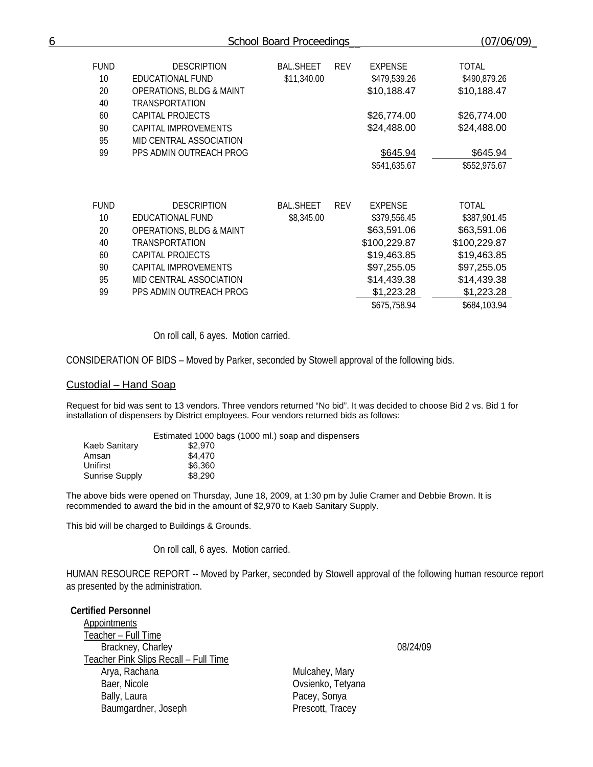| 6 |             | School Board Proceedings            | (07/06/09)       |            |                |              |  |
|---|-------------|-------------------------------------|------------------|------------|----------------|--------------|--|
|   | <b>FUND</b> | <b>DESCRIPTION</b>                  | <b>BAL.SHEET</b> | <b>REV</b> | <b>EXPENSE</b> | <b>TOTAL</b> |  |
|   | 10          | EDUCATIONAL FUND                    | \$11,340.00      |            | \$479,539.26   | \$490,879.26 |  |
|   | 20          | <b>OPERATIONS, BLDG &amp; MAINT</b> |                  |            | \$10,188.47    | \$10,188.47  |  |
|   | 40          | <b>TRANSPORTATION</b>               |                  |            |                |              |  |
|   | 60          | CAPITAL PROJECTS                    |                  |            | \$26,774.00    | \$26,774.00  |  |
|   | 90          | CAPITAL IMPROVEMENTS                |                  |            | \$24,488.00    | \$24,488.00  |  |
|   | 95          | MID CENTRAL ASSOCIATION             |                  |            |                |              |  |
|   | 99          | PPS ADMIN OUTREACH PROG             |                  |            | \$645.94       | \$645.94     |  |
|   |             |                                     |                  |            | \$541,635.67   | \$552,975.67 |  |
|   |             |                                     |                  |            |                |              |  |
|   | <b>FUND</b> | <b>DESCRIPTION</b>                  | <b>BAL.SHEET</b> | <b>REV</b> | <b>EXPENSE</b> | <b>TOTAL</b> |  |
|   | 10          | EDUCATIONAL FUND                    | \$8,345.00       |            | \$379,556.45   | \$387,901.45 |  |
|   | 20          | <b>OPERATIONS, BLDG &amp; MAINT</b> |                  |            | \$63,591.06    | \$63,591.06  |  |
|   | 40          | <b>TRANSPORTATION</b>               |                  |            | \$100,229.87   | \$100,229.87 |  |
|   | 60          | CAPITAL PROJECTS                    |                  |            | \$19,463.85    | \$19,463.85  |  |
|   | 90          | CAPITAL IMPROVEMENTS                |                  |            | \$97,255.05    | \$97,255.05  |  |
|   | 95          | MID CENTRAL ASSOCIATION             |                  |            | \$14,439.38    | \$14,439.38  |  |
|   | 99          | PPS ADMIN OUTREACH PROG             |                  |            | \$1,223.28     | \$1,223.28   |  |
|   |             |                                     |                  |            | \$675,758.94   | \$684,103.94 |  |

On roll call, 6 ayes. Motion carried.

CONSIDERATION OF BIDS – Moved by Parker, seconded by Stowell approval of the following bids.

#### Custodial – Hand Soap

Request for bid was sent to 13 vendors. Three vendors returned "No bid". It was decided to choose Bid 2 vs. Bid 1 for installation of dispensers by District employees. Four vendors returned bids as follows:

|                      | Estimated 1000 bags (1000 ml.) soap and dispensers |
|----------------------|----------------------------------------------------|
| <b>Kaeb Sanitary</b> | \$2,970                                            |
| Amsan                | \$4,470                                            |
| Unifirst             | \$6.360                                            |
| Sunrise Supply       | \$8,290                                            |
|                      |                                                    |

The above bids were opened on Thursday, June 18, 2009, at 1:30 pm by Julie Cramer and Debbie Brown. It is recommended to award the bid in the amount of \$2,970 to Kaeb Sanitary Supply.

This bid will be charged to Buildings & Grounds.

On roll call, 6 ayes. Motion carried.

HUMAN RESOURCE REPORT -- Moved by Parker, seconded by Stowell approval of the following human resource report as presented by the administration.

#### **Certified Personnel**  Appointments

Teacher – Full Time Brackney, Charley 08/24/09 Teacher Pink Slips Recall – Full Time Arya, Rachana **Mulcahey, Mary** Baer, Nicole **Contract Contract Contract Contract Contract Contract Contract Contract Contract Contract Contract Contract Contract Contract Contract Contract Contract Contract Contract Contract Contract Contract Contract C** Bally, Laura<br>
Baumgardner, Joseph<br>
Prescott, Tracey Baumgardner, Joseph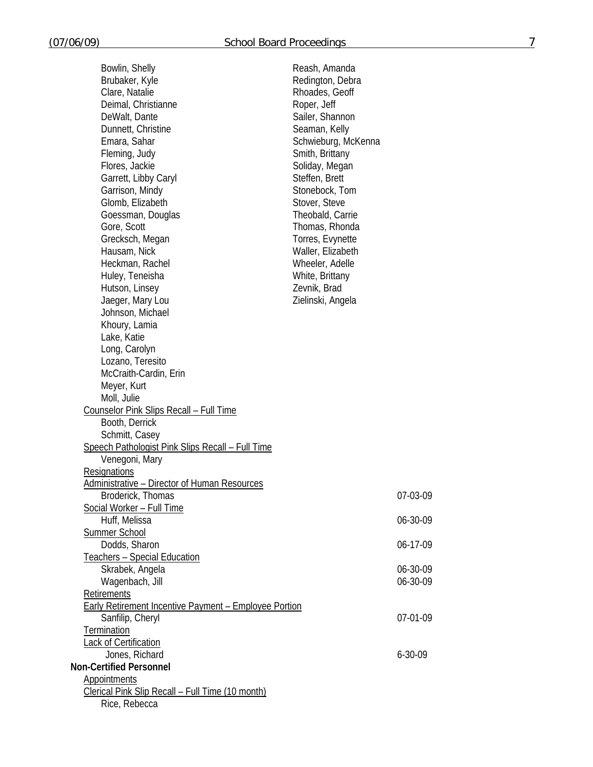| Bowlin, Shelly                                               | Reash, Amanda       |               |
|--------------------------------------------------------------|---------------------|---------------|
| Brubaker, Kyle                                               | Redington, Debra    |               |
| Clare, Natalie                                               | Rhoades, Geoff      |               |
| Deimal, Christianne                                          | Roper, Jeff         |               |
| DeWalt, Dante                                                | Sailer, Shannon     |               |
| Dunnett, Christine                                           | Seaman, Kelly       |               |
| Emara, Sahar                                                 | Schwieburg, McKenna |               |
| Fleming, Judy                                                | Smith, Brittany     |               |
| Flores, Jackie                                               | Soliday, Megan      |               |
| Garrett, Libby Caryl                                         | Steffen, Brett      |               |
| Garrison, Mindy                                              | Stonebock, Tom      |               |
| Glomb, Elizabeth                                             | Stover, Steve       |               |
| Goessman, Douglas                                            | Theobald, Carrie    |               |
| Gore, Scott                                                  | Thomas, Rhonda      |               |
| Grecksch, Megan                                              | Torres, Evynette    |               |
| Hausam, Nick                                                 | Waller, Elizabeth   |               |
| Heckman, Rachel                                              | Wheeler, Adelle     |               |
| Huley, Teneisha                                              | White, Brittany     |               |
| Hutson, Linsey                                               | Zevnik, Brad        |               |
| Jaeger, Mary Lou                                             | Zielinski, Angela   |               |
| Johnson, Michael                                             |                     |               |
| Khoury, Lamia                                                |                     |               |
| Lake, Katie                                                  |                     |               |
| Long, Carolyn                                                |                     |               |
| Lozano, Teresito                                             |                     |               |
| McCraith-Cardin, Erin                                        |                     |               |
| Meyer, Kurt                                                  |                     |               |
| Moll, Julie                                                  |                     |               |
| Counselor Pink Slips Recall - Full Time                      |                     |               |
| Booth, Derrick                                               |                     |               |
| Schmitt, Casey                                               |                     |               |
| Speech Pathologist Pink Slips Recall - Full Time             |                     |               |
| Venegoni, Mary                                               |                     |               |
| Resignations                                                 |                     |               |
| Administrative - Director of Human Resources                 |                     |               |
| Broderick, Thomas                                            |                     | 07-03-09      |
| Social Worker - Full Time                                    |                     |               |
| Huff, Melissa                                                |                     | 06-30-09      |
| Summer School                                                |                     |               |
| Dodds, Sharon                                                |                     | 06-17-09      |
| <b>Teachers - Special Education</b>                          |                     |               |
| Skrabek, Angela                                              |                     | 06-30-09      |
| Wagenbach, Jill                                              |                     | 06-30-09      |
| Retirements                                                  |                     |               |
| <b>Early Retirement Incentive Payment - Employee Portion</b> |                     |               |
| Sanfilip, Cheryl                                             |                     | 07-01-09      |
| Termination                                                  |                     |               |
| <b>Lack of Certification</b>                                 |                     |               |
| Jones, Richard                                               |                     | $6 - 30 - 09$ |
| <b>Non-Certified Personnel</b>                               |                     |               |
| <b>Appointments</b>                                          |                     |               |
| <b>Clerical Pink Slip Recall - Full Time (10 month)</b>      |                     |               |
| Rice, Rebecca                                                |                     |               |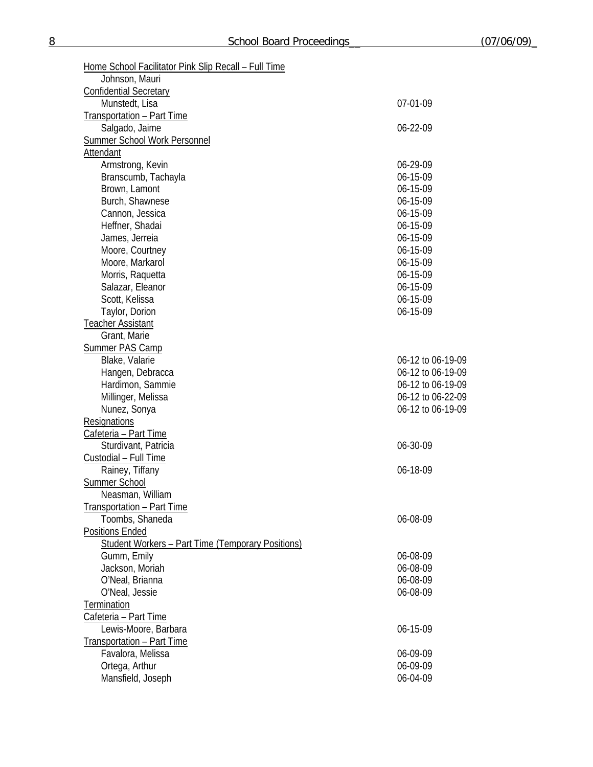| Home School Facilitator Pink Slip Recall - Full Time     |                   |
|----------------------------------------------------------|-------------------|
| Johnson, Mauri                                           |                   |
| <b>Confidential Secretary</b><br>Munstedt, Lisa          | 07-01-09          |
|                                                          |                   |
| <b>Transportation - Part Time</b><br>Salgado, Jaime      | 06-22-09          |
| <b>Summer School Work Personnel</b>                      |                   |
| Attendant                                                |                   |
| Armstrong, Kevin                                         | 06-29-09          |
| Branscumb, Tachayla                                      | 06-15-09          |
| Brown, Lamont                                            | 06-15-09          |
| Burch, Shawnese                                          | 06-15-09          |
| Cannon, Jessica                                          | 06-15-09          |
| Heffner, Shadai                                          | 06-15-09          |
| James, Jerreia                                           | 06-15-09          |
| Moore, Courtney                                          | 06-15-09          |
| Moore, Markarol                                          | 06-15-09          |
| Morris, Raquetta                                         | 06-15-09          |
| Salazar, Eleanor                                         | 06-15-09          |
| Scott, Kelissa                                           | 06-15-09          |
| Taylor, Dorion                                           | 06-15-09          |
| <b>Teacher Assistant</b>                                 |                   |
| Grant, Marie                                             |                   |
| <b>Summer PAS Camp</b>                                   |                   |
| Blake, Valarie                                           | 06-12 to 06-19-09 |
| Hangen, Debracca                                         | 06-12 to 06-19-09 |
| Hardimon, Sammie                                         | 06-12 to 06-19-09 |
| Millinger, Melissa                                       | 06-12 to 06-22-09 |
| Nunez, Sonya                                             | 06-12 to 06-19-09 |
| Resignations                                             |                   |
| Cafeteria - Part Time                                    |                   |
| Sturdivant, Patricia                                     | 06-30-09          |
| Custodial - Full Time                                    |                   |
| Rainey, Tiffany                                          | 06-18-09          |
| <b>Summer School</b>                                     |                   |
| Neasman, William                                         |                   |
| Transportation - Part Time                               |                   |
| Toombs, Shaneda                                          | 06-08-09          |
| <b>Positions Ended</b>                                   |                   |
| <b>Student Workers - Part Time (Temporary Positions)</b> |                   |
| Gumm, Emily                                              | 06-08-09          |
| Jackson, Moriah                                          | 06-08-09          |
| O'Neal, Brianna                                          | 06-08-09          |
| O'Neal, Jessie                                           | 06-08-09          |
| Termination                                              |                   |
| Cafeteria - Part Time                                    |                   |
| Lewis-Moore, Barbara                                     | 06-15-09          |
| Transportation - Part Time                               |                   |
| Favalora, Melissa                                        | 06-09-09          |
| Ortega, Arthur                                           | 06-09-09          |
| Mansfield, Joseph                                        | 06-04-09          |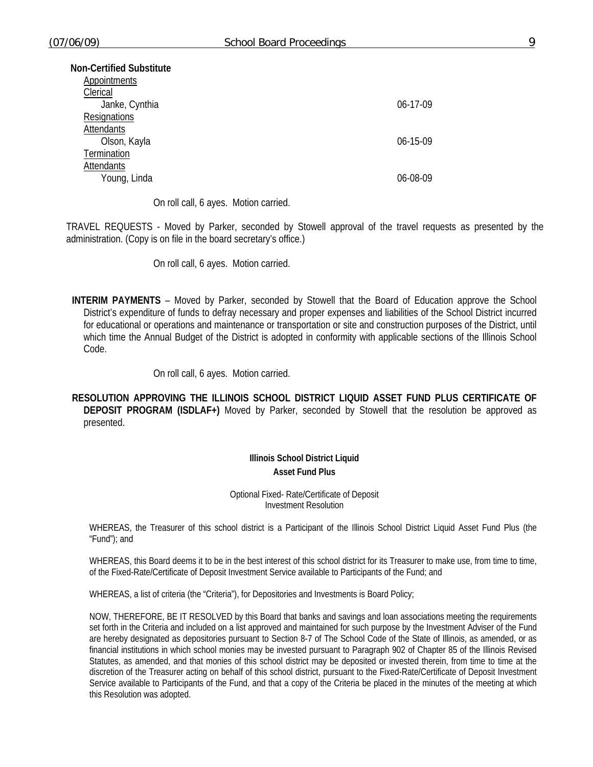| Non-Certified Substitute<br>Appointments |                |
|------------------------------------------|----------------|
| Clerical                                 |                |
| Janke, Cynthia                           | $06-17-09$     |
| Resignations                             |                |
| Attendants                               |                |
| Olson, Kayla                             | $06 - 15 - 09$ |
| Termination                              |                |
| Attendants                               |                |
| Young, Linda                             | 06-08-09       |

On roll call, 6 ayes. Motion carried.

TRAVEL REQUESTS - Moved by Parker, seconded by Stowell approval of the travel requests as presented by the administration. (Copy is on file in the board secretary's office.)

On roll call, 6 ayes. Motion carried.

**INTERIM PAYMENTS** – Moved by Parker, seconded by Stowell that the Board of Education approve the School District's expenditure of funds to defray necessary and proper expenses and liabilities of the School District incurred for educational or operations and maintenance or transportation or site and construction purposes of the District, until which time the Annual Budget of the District is adopted in conformity with applicable sections of the Illinois School Code.

On roll call, 6 ayes. Motion carried.

**RESOLUTION APPROVING THE ILLINOIS SCHOOL DISTRICT LIQUID ASSET FUND PLUS CERTIFICATE OF DEPOSIT PROGRAM (ISDLAF+)** Moved by Parker, seconded by Stowell that the resolution be approved as presented.

> **Illinois School District Liquid Asset Fund Plus**

Optional Fixed- Rate/Certificate of Deposit Investment Resolution

WHEREAS, the Treasurer of this school district is a Participant of the Illinois School District Liquid Asset Fund Plus (the "Fund"); and

WHEREAS, this Board deems it to be in the best interest of this school district for its Treasurer to make use, from time to time, of the Fixed-Rate/Certificate of Deposit Investment Service available to Participants of the Fund; and

WHEREAS, a list of criteria (the "Criteria"), for Depositories and Investments is Board Policy;

NOW, THEREFORE, BE IT RESOLVED by this Board that banks and savings and loan associations meeting the requirements set forth in the Criteria and included on a list approved and maintained for such purpose by the Investment Adviser of the Fund are hereby designated as depositories pursuant to Section 8-7 of The School Code of the State of Illinois, as amended, or as financial institutions in which school monies may be invested pursuant to Paragraph 902 of Chapter 85 of the Illinois Revised Statutes, as amended, and that monies of this school district may be deposited or invested therein, from time to time at the discretion of the Treasurer acting on behalf of this school district, pursuant to the Fixed-Rate/Certificate of Deposit Investment Service available to Participants of the Fund, and that a copy of the Criteria be placed in the minutes of the meeting at which this Resolution was adopted.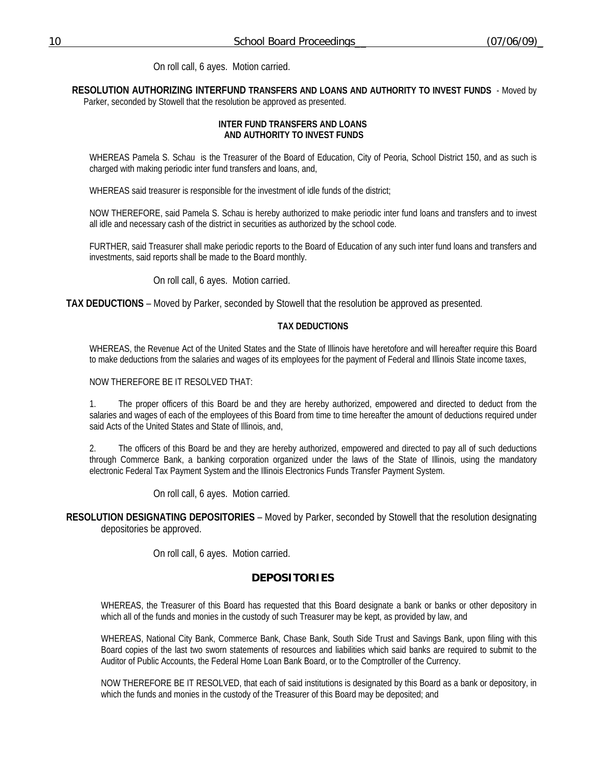On roll call, 6 ayes. Motion carried.

**RESOLUTION AUTHORIZING INTERFUND TRANSFERS AND LOANS AND AUTHORITY TO INVEST FUNDS** - Moved by

Parker, seconded by Stowell that the resolution be approved as presented.

### **INTER FUND TRANSFERS AND LOANS AND AUTHORITY TO INVEST FUNDS**

WHEREAS Pamela S. Schau is the Treasurer of the Board of Education, City of Peoria, School District 150, and as such is charged with making periodic inter fund transfers and loans, and,

WHEREAS said treasurer is responsible for the investment of idle funds of the district;

NOW THEREFORE, said Pamela S. Schau is hereby authorized to make periodic inter fund loans and transfers and to invest all idle and necessary cash of the district in securities as authorized by the school code.

FURTHER, said Treasurer shall make periodic reports to the Board of Education of any such inter fund loans and transfers and investments, said reports shall be made to the Board monthly.

On roll call, 6 ayes. Motion carried.

**TAX DEDUCTIONS** – Moved by Parker, seconded by Stowell that the resolution be approved as presented.

### **TAX DEDUCTIONS**

WHEREAS, the Revenue Act of the United States and the State of Illinois have heretofore and will hereafter require this Board to make deductions from the salaries and wages of its employees for the payment of Federal and Illinois State income taxes,

NOW THEREFORE BE IT RESOLVED THAT:

1. The proper officers of this Board be and they are hereby authorized, empowered and directed to deduct from the salaries and wages of each of the employees of this Board from time to time hereafter the amount of deductions required under said Acts of the United States and State of Illinois, and,

2. The officers of this Board be and they are hereby authorized, empowered and directed to pay all of such deductions through Commerce Bank, a banking corporation organized under the laws of the State of Illinois, using the mandatory electronic Federal Tax Payment System and the Illinois Electronics Funds Transfer Payment System.

On roll call, 6 ayes. Motion carried.

**RESOLUTION DESIGNATING DEPOSITORIES** – Moved by Parker, seconded by Stowell that the resolution designating depositories be approved.

On roll call, 6 ayes. Motion carried.

## **DEPOSITORIES**

WHEREAS, the Treasurer of this Board has requested that this Board designate a bank or banks or other depository in which all of the funds and monies in the custody of such Treasurer may be kept, as provided by law, and

WHEREAS, National City Bank, Commerce Bank, Chase Bank, South Side Trust and Savings Bank, upon filing with this Board copies of the last two sworn statements of resources and liabilities which said banks are required to submit to the Auditor of Public Accounts, the Federal Home Loan Bank Board, or to the Comptroller of the Currency.

NOW THEREFORE BE IT RESOLVED, that each of said institutions is designated by this Board as a bank or depository, in which the funds and monies in the custody of the Treasurer of this Board may be deposited; and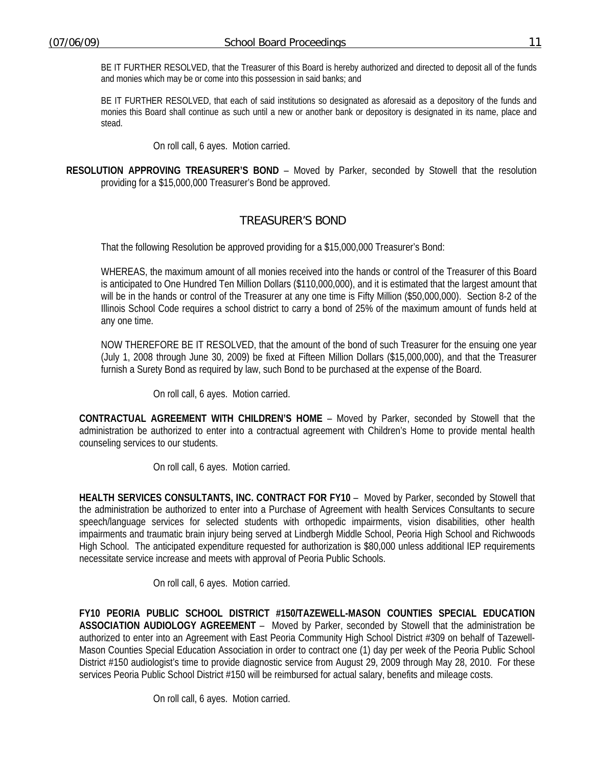BE IT FURTHER RESOLVED, that the Treasurer of this Board is hereby authorized and directed to deposit all of the funds and monies which may be or come into this possession in said banks; and

BE IT FURTHER RESOLVED, that each of said institutions so designated as aforesaid as a depository of the funds and monies this Board shall continue as such until a new or another bank or depository is designated in its name, place and stead.

On roll call, 6 ayes. Motion carried.

**RESOLUTION APPROVING TREASURER'S BOND** – Moved by Parker, seconded by Stowell that the resolution providing for a \$15,000,000 Treasurer's Bond be approved.

# TREASURER'S BOND

That the following Resolution be approved providing for a \$15,000,000 Treasurer's Bond:

WHEREAS, the maximum amount of all monies received into the hands or control of the Treasurer of this Board is anticipated to One Hundred Ten Million Dollars (\$110,000,000), and it is estimated that the largest amount that will be in the hands or control of the Treasurer at any one time is Fifty Million (\$50,000,000). Section 8-2 of the Illinois School Code requires a school district to carry a bond of 25% of the maximum amount of funds held at any one time.

NOW THEREFORE BE IT RESOLVED, that the amount of the bond of such Treasurer for the ensuing one year (July 1, 2008 through June 30, 2009) be fixed at Fifteen Million Dollars (\$15,000,000), and that the Treasurer furnish a Surety Bond as required by law, such Bond to be purchased at the expense of the Board.

On roll call, 6 ayes. Motion carried.

**CONTRACTUAL AGREEMENT WITH CHILDREN'S HOME** – Moved by Parker, seconded by Stowell that the administration be authorized to enter into a contractual agreement with Children's Home to provide mental health counseling services to our students.

On roll call, 6 ayes. Motion carried.

**HEALTH SERVICES CONSULTANTS, INC. CONTRACT FOR FY10** – Moved by Parker, seconded by Stowell that the administration be authorized to enter into a Purchase of Agreement with health Services Consultants to secure speech/language services for selected students with orthopedic impairments, vision disabilities, other health impairments and traumatic brain injury being served at Lindbergh Middle School, Peoria High School and Richwoods High School. The anticipated expenditure requested for authorization is \$80,000 unless additional IEP requirements necessitate service increase and meets with approval of Peoria Public Schools.

On roll call, 6 ayes. Motion carried.

**FY10 PEORIA PUBLIC SCHOOL DISTRICT #150/TAZEWELL-MASON COUNTIES SPECIAL EDUCATION ASSOCIATION AUDIOLOGY AGREEMENT** – Moved by Parker, seconded by Stowell that the administration be authorized to enter into an Agreement with East Peoria Community High School District #309 on behalf of Tazewell-Mason Counties Special Education Association in order to contract one (1) day per week of the Peoria Public School District #150 audiologist's time to provide diagnostic service from August 29, 2009 through May 28, 2010. For these services Peoria Public School District #150 will be reimbursed for actual salary, benefits and mileage costs.

On roll call, 6 ayes. Motion carried.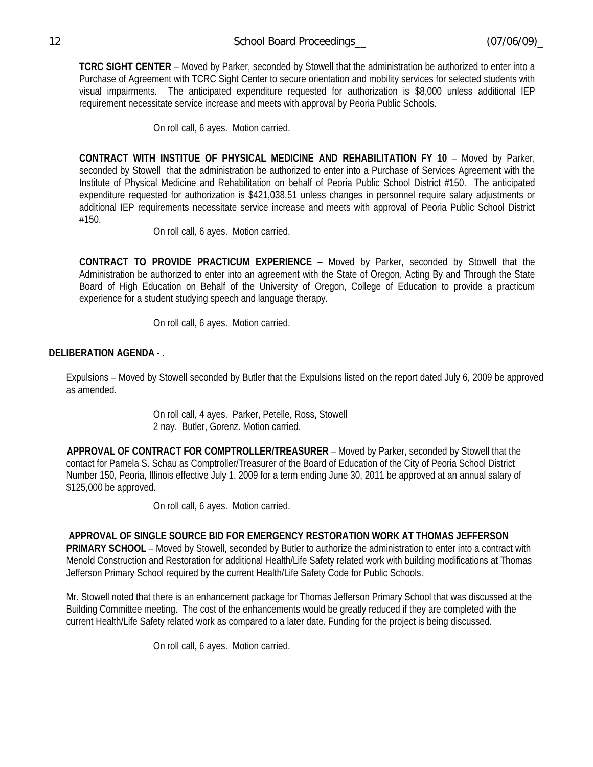**TCRC SIGHT CENTER** – Moved by Parker, seconded by Stowell that the administration be authorized to enter into a Purchase of Agreement with TCRC Sight Center to secure orientation and mobility services for selected students with visual impairments. The anticipated expenditure requested for authorization is \$8,000 unless additional IEP requirement necessitate service increase and meets with approval by Peoria Public Schools.

On roll call, 6 ayes. Motion carried.

**CONTRACT WITH INSTITUE OF PHYSICAL MEDICINE AND REHABILITATION FY 10** – Moved by Parker, seconded by Stowell that the administration be authorized to enter into a Purchase of Services Agreement with the Institute of Physical Medicine and Rehabilitation on behalf of Peoria Public School District #150. The anticipated expenditure requested for authorization is \$421,038.51 unless changes in personnel require salary adjustments or additional IEP requirements necessitate service increase and meets with approval of Peoria Public School District #150.

On roll call, 6 ayes. Motion carried.

**CONTRACT TO PROVIDE PRACTICUM EXPERIENCE** – Moved by Parker, seconded by Stowell that the Administration be authorized to enter into an agreement with the State of Oregon, Acting By and Through the State Board of High Education on Behalf of the University of Oregon, College of Education to provide a practicum experience for a student studying speech and language therapy.

On roll call, 6 ayes. Motion carried.

## **DELIBERATION AGENDA** - .

Expulsions – Moved by Stowell seconded by Butler that the Expulsions listed on the report dated July 6, 2009 be approved as amended.

> On roll call, 4 ayes. Parker, Petelle, Ross, Stowell 2 nay. Butler, Gorenz. Motion carried.

 **APPROVAL OF CONTRACT FOR COMPTROLLER/TREASURER** – Moved by Parker, seconded by Stowell that the contact for Pamela S. Schau as Comptroller/Treasurer of the Board of Education of the City of Peoria School District Number 150, Peoria, Illinois effective July 1, 2009 for a term ending June 30, 2011 be approved at an annual salary of \$125,000 be approved.

On roll call, 6 ayes. Motion carried.

## **APPROVAL OF SINGLE SOURCE BID FOR EMERGENCY RESTORATION WORK AT THOMAS JEFFERSON**

**PRIMARY SCHOOL** – Moved by Stowell, seconded by Butler to authorize the administration to enter into a contract with Menold Construction and Restoration for additional Health/Life Safety related work with building modifications at Thomas Jefferson Primary School required by the current Health/Life Safety Code for Public Schools.

Mr. Stowell noted that there is an enhancement package for Thomas Jefferson Primary School that was discussed at the Building Committee meeting. The cost of the enhancements would be greatly reduced if they are completed with the current Health/Life Safety related work as compared to a later date. Funding for the project is being discussed.

On roll call, 6 ayes. Motion carried.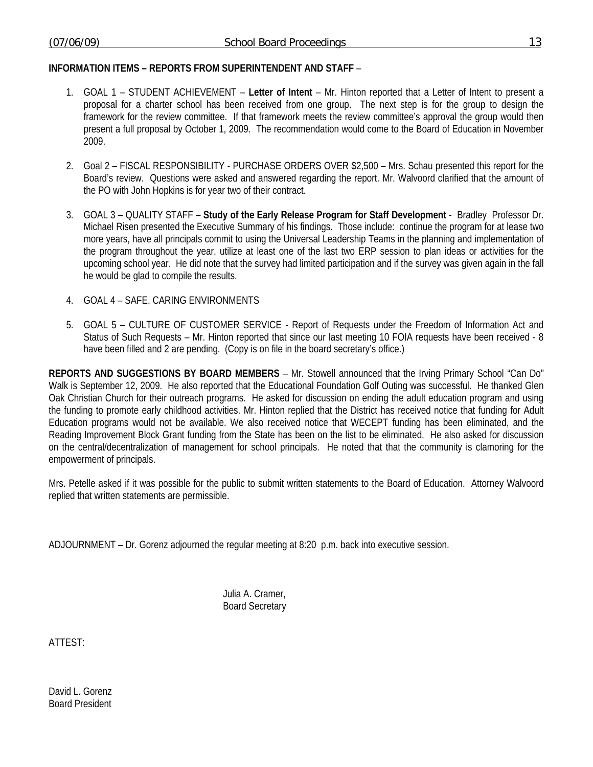## **INFORMATION ITEMS – REPORTS FROM SUPERINTENDENT AND STAFF** –

- 1. GOAL 1 STUDENT ACHIEVEMENT **Letter of Intent**  Mr. Hinton reported that a Letter of Intent to present a proposal for a charter school has been received from one group. The next step is for the group to design the framework for the review committee. If that framework meets the review committee's approval the group would then present a full proposal by October 1, 2009. The recommendation would come to the Board of Education in November 2009.
- 2. Goal 2 FISCAL RESPONSIBILITY PURCHASE ORDERS OVER \$2,500 Mrs. Schau presented this report for the Board's review. Questions were asked and answered regarding the report. Mr. Walvoord clarified that the amount of the PO with John Hopkins is for year two of their contract.
- 3. GOAL 3 QUALITY STAFF **Study of the Early Release Program for Staff Development** Bradley Professor Dr. Michael Risen presented the Executive Summary of his findings. Those include: continue the program for at lease two more years, have all principals commit to using the Universal Leadership Teams in the planning and implementation of the program throughout the year, utilize at least one of the last two ERP session to plan ideas or activities for the upcoming school year. He did note that the survey had limited participation and if the survey was given again in the fall he would be glad to compile the results.
- 4. GOAL 4 SAFE, CARING ENVIRONMENTS
- 5. GOAL 5 CULTURE OF CUSTOMER SERVICE Report of Requests under the Freedom of Information Act and Status of Such Requests – Mr. Hinton reported that since our last meeting 10 FOIA requests have been received - 8 have been filled and 2 are pending. (Copy is on file in the board secretary's office.)

**REPORTS AND SUGGESTIONS BY BOARD MEMBERS** – Mr. Stowell announced that the Irving Primary School "Can Do" Walk is September 12, 2009. He also reported that the Educational Foundation Golf Outing was successful. He thanked Glen Oak Christian Church for their outreach programs. He asked for discussion on ending the adult education program and using the funding to promote early childhood activities. Mr. Hinton replied that the District has received notice that funding for Adult Education programs would not be available. We also received notice that WECEPT funding has been eliminated, and the Reading Improvement Block Grant funding from the State has been on the list to be eliminated. He also asked for discussion on the central/decentralization of management for school principals. He noted that that the community is clamoring for the empowerment of principals.

Mrs. Petelle asked if it was possible for the public to submit written statements to the Board of Education. Attorney Walvoord replied that written statements are permissible.

ADJOURNMENT – Dr. Gorenz adjourned the regular meeting at 8:20 p.m. back into executive session.

 Julia A. Cramer, Board Secretary

ATTEST:

David L. Gorenz Board President